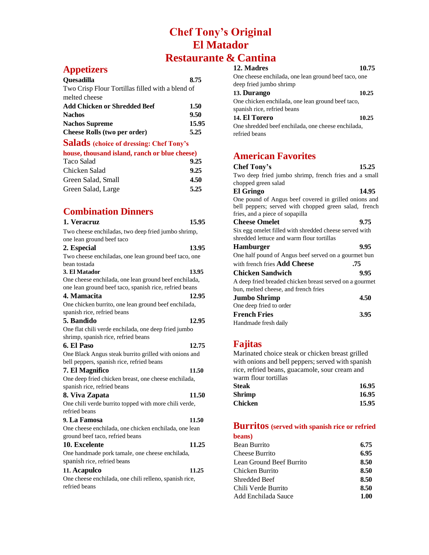# **Chef Tony's Original El Matador Restaurante & Cantina**

## **Appetizers**

| Quesadilla                                       | 8.75  |
|--------------------------------------------------|-------|
| Two Crisp Flour Tortillas filled with a blend of |       |
| melted cheese                                    |       |
| <b>Add Chicken or Shredded Beef</b>              | 1.50  |
| <b>Nachos</b>                                    | 9.50  |
| <b>Nachos Supreme</b>                            | 15.95 |
| <b>Cheese Rolls (two per order)</b>              | 5.25  |
| <b>Salads</b> (choice of dressing: Chef Tony's   |       |
| house, thousand island, ranch or blue cheese)    |       |

| Taco Salad         | 9.25 |
|--------------------|------|
| Chicken Salad      | 9.25 |
| Green Salad, Small | 4.50 |
| Green Salad, Large | 5.25 |

# **Combination Dinners**

| 1. Veracruz                                            | 15.95 |
|--------------------------------------------------------|-------|
| Two cheese enchiladas, two deep fried jumbo shrimp,    |       |
| one lean ground beef taco                              |       |
| 2. Especial                                            | 13.95 |
| Two cheese enchiladas, one lean ground beef taco, one  |       |
| bean tostada                                           |       |
| 3. El Matador                                          | 13.95 |
| One cheese enchilada, one lean ground beef enchilada,  |       |
| one lean ground beef taco, spanish rice, refried beans |       |
| 4. Mamacita                                            | 12.95 |
| One chicken burrito, one lean ground beef enchilada,   |       |
| spanish rice, refried beans                            |       |
| 5. Bandido                                             | 12.95 |
| One flat chili verde enchilada, one deep fried jumbo   |       |
| shrimp, spanish rice, refried beans                    |       |
| 6. El Paso                                             | 12.75 |
| One Black Angus steak burrito grilled with onions and  |       |
| bell peppers, spanish rice, refried beans              |       |
| 7. El Magnifico                                        | 11.50 |
| One deep fried chicken breast, one cheese enchilada,   |       |
| spanish rice, refried beans                            |       |
| 8. Viva Zapata                                         | 11.50 |
| One chili verde burrito topped with more chili verde,  |       |
| refried beans                                          |       |
| 9. La Famosa                                           | 11.50 |
| One cheese enchilada, one chicken enchilada, one lean  |       |
| ground beef taco, refried beans                        |       |
| 10. Excelente                                          | 11.25 |
| One handmade pork tamale, one cheese enchilada,        |       |
| spanish rice, refried beans                            |       |
| 11. Acapulco                                           | 11.25 |
| One cheese enchilada, one chili relleno, spanish rice, |       |
| refried beans                                          |       |

## **12. Madres 10.75**

| One cheese enchilada, one lean ground beef taco, one |       |
|------------------------------------------------------|-------|
| deep fried jumbo shrimp                              |       |
| 13. Durango                                          | 10.25 |
| One chicken enchilada, one lean ground beef taco,    |       |
| spanish rice, refried beans                          |       |
| 14. El Torero                                        | 10.25 |
| One shredded beef enchilada, one cheese enchilada,   |       |
| refried beans                                        |       |

# **American Favorites**

| Chef Tony's                                             | 15.25 |
|---------------------------------------------------------|-------|
| Two deep fried jumbo shrimp, french fries and a small   |       |
| chopped green salad                                     |       |
| <b>El Gringo</b>                                        | 14.95 |
| One pound of Angus beef covered in grilled onions and   |       |
| bell peppers; served with chopped green salad, french   |       |
| fries, and a piece of sopapilla                         |       |
| <b>Cheese Omelet</b>                                    | 9.75  |
| Six egg omelet filled with shredded cheese served with  |       |
| shredded lettuce and warm flour tortillas               |       |
| <b>Hamburger</b>                                        | 9.95  |
| One half pound of Angus beef served on a gourmet bun    |       |
| with french fries <b>Add Cheese</b><br>.75              |       |
| Chicken Sandwich                                        | 9.95  |
| A deep fried breaded chicken breast served on a gourmet |       |
| bun, melted cheese, and french fries                    |       |
| <b>Jumbo Shrimp</b>                                     | 4.50  |
| One deep fried to order                                 |       |
| <b>French Fries</b>                                     | 3.95  |
| Handmade fresh daily                                    |       |
|                                                         |       |

### **Fajitas**

Marinated choice steak or chicken breast grilled with onions and bell peppers; served with spanish rice, refried beans, guacamole, sour cream and warm flour tortillas

| Steak   | 16.95 |
|---------|-------|
| Shrimp  | 16.95 |
| Chicken | 15.95 |

## **Burritos (served with spanish rice or refried**

| beans)                   |      |
|--------------------------|------|
| <b>Bean Burrito</b>      | 6.75 |
| Cheese Burrito           | 6.95 |
| Lean Ground Beef Burrito | 8.50 |
| Chicken Burrito          | 8.50 |
| Shredded Beef            | 8.50 |
| Chili Verde Burrito      | 8.50 |
| Add Enchilada Sauce      | 1.00 |
|                          |      |